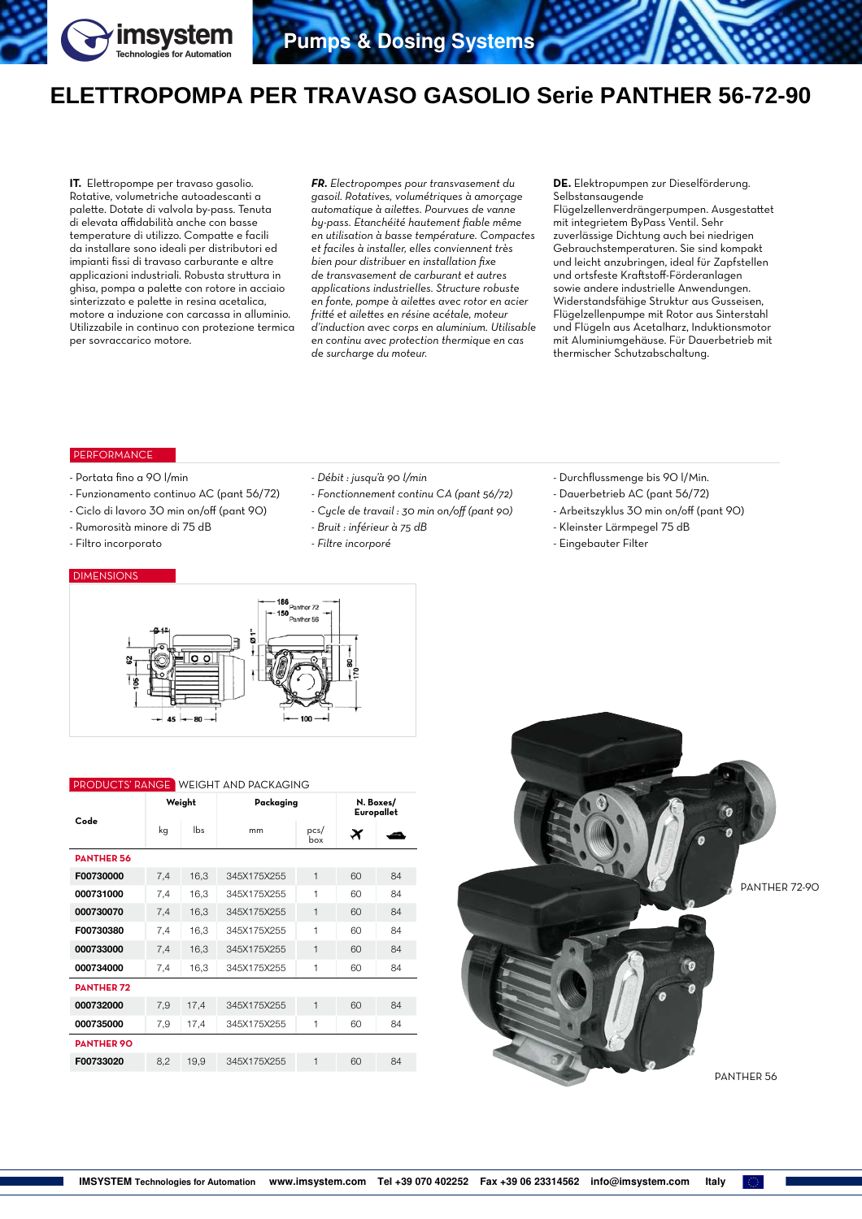

## **ELETTROPOMPA PER TRAVASO GASOLIO Serie PANTHER 56-72-90**

**IT.** Elettropompe per travaso gasolio. Rotative, volumetriche autoadescanti a palette. Dotate di valvola by-pass. Tenuta di elevata affidabilità anche con basse temperature di utilizzo. Compatte e facili da installare sono ideali per distributori ed impianti fissi di travaso carburante e altre applicazioni industriali. Robusta struttura in ghisa, pompa a palette con rotore in acciaio sinterizzato e palette in resina acetalica, motore a induzione con carcassa in alluminio. Utilizzabile in continuo con protezione termica per sovraccarico motore.

*FR. Electropompes pour transvasement du gasoil. Rotatives, volumétriques à amorçage automatique à ailettes. Pourvues de vanne by-pass. Etanchéité hautement fiable même en utilisation à basse température. Compactes et faciles à installer, elles conviennent très bien pour distribuer en installation fixe de transvasement de carburant et autres applications industrielles. Structure robuste en fonte, pompe à ailettes avec rotor en acier fritté et ailettes en résine acétale, moteur d'induction avec corps en aluminium. Utilisable en continu avec protection thermique en cas de surcharge du moteur.* 

**DE.** Elektropumpen zur Dieselförderung. Selbstansaugende

Flügelzellenverdrängerpumpen. Ausgestattet mit integrietem ByPass Ventil. Sehr zuverlässige Dichtung auch bei niedrigen Gebrauchstemperaturen. Sie sind kompakt und leicht anzubringen, ideal für Zapfstellen und ortsfeste Kraftstoff-Förderanlagen sowie andere industrielle Anwendungen. Widerstandsfähige Struktur aus Gusseisen, Flügelzellenpumpe mit Rotor aus Sinterstahl und Flügeln aus Acetalharz, Induktionsmotor mit Aluminiumgehäuse. Für Dauerbetrieb mit thermischer Schutzabschaltung.

## **PERFORMANCE**

- Portata fino a 90 l/min
- Funzionamento continuo AC (pant 56/72)
- Ciclo di lavoro 30 min on/off (pant 90)
- Rumorosità minore di 75 dB
- Filtro incorporato

## DIMENSIONS

- *Débit : jusqu'à 90 l/min*
- *Fonctionnement continu CA (pant 56/72)*
- *Cycle de travail : 30 min on/off (pant 90)*
- *Bruit : inférieur à 75 dB*
- *Filtre incorporé*
- Durchflussmenge bis 90 l/Min.
- Dauerbetrieb AC (pant 56/72)
- Arbeitszyklus 30 min on/off (pant 90)
- Kleinster Lärmpegel 75 dB
- Eingebauter Filter



## PRODUCTS' RANGE WEIGHT AND PACKAGING

|                   | Weight |      | Packaging   | N. Boxes/<br>Europallet |                       |    |  |  |  |
|-------------------|--------|------|-------------|-------------------------|-----------------------|----|--|--|--|
| Code              | kg     | lbs  | mm          | pcs/<br>box             | $\boldsymbol{\times}$ |    |  |  |  |
| <b>PANTHER 56</b> |        |      |             |                         |                       |    |  |  |  |
| F00730000         | 7,4    | 16,3 | 345X175X255 | $\overline{1}$          | 60                    | 84 |  |  |  |
| 000731000         | 7,4    | 16,3 | 345X175X255 | 1                       | 60                    | 84 |  |  |  |
| 000730070         | 7,4    | 16,3 | 345X175X255 | $\mathbf{1}$            | 60                    | 84 |  |  |  |
| F00730380         | 7,4    | 16,3 | 345X175X255 | 1                       | 60                    | 84 |  |  |  |
| 000733000         | 7,4    | 16.3 | 345X175X255 | $\overline{1}$          | 60                    | 84 |  |  |  |
| 000734000         | 7,4    | 16,3 | 345X175X255 | 1                       | 60                    | 84 |  |  |  |
| <b>DANTHER 72</b> |        |      |             |                         |                       |    |  |  |  |
| 000732000         | 7,9    | 17,4 | 345X175X255 | $\overline{1}$          |                       | 84 |  |  |  |
| 000735000         | 7,9    | 17,4 | 345X175X255 | 1                       |                       | 84 |  |  |  |
| <b>PANTHER 90</b> |        |      |             |                         |                       |    |  |  |  |
| F00733020         | 8.2    | 19.9 | 345X175X255 | 1                       | 60                    | 84 |  |  |  |